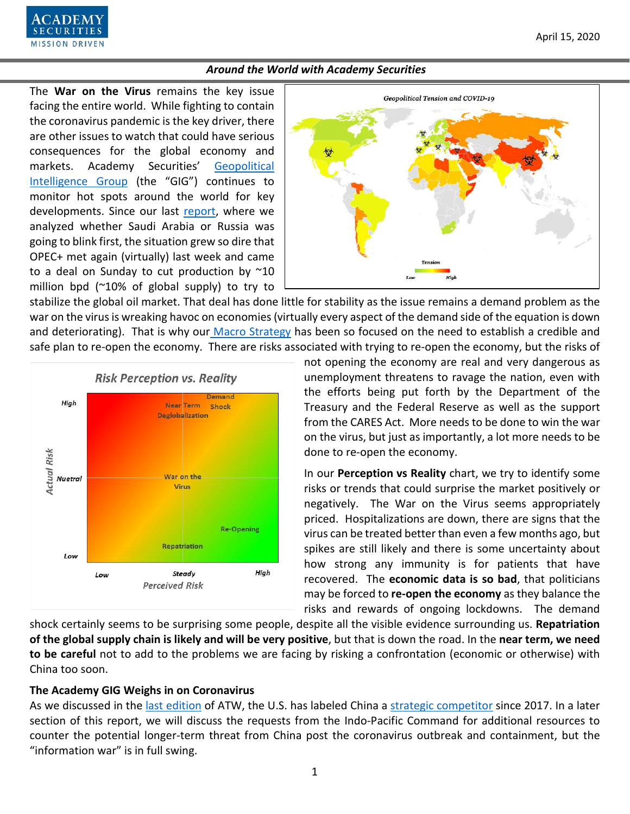

The **War on the Virus** remains the key issue facing the entire world. While fighting to contain the coronavirus pandemic is the key driver, there are other issues to watch that could have serious consequences for the global economy and markets. Academy Securities' [Geopolitical](https://www.academysecurities.com/geopolitical/geopolitical-intelligence-group/)  [Intelligence Group](https://www.academysecurities.com/geopolitical/geopolitical-intelligence-group/) (the "GIG") continues to monitor hot spots around the world for key developments. Since our last [report,](https://www.academysecurities.com/wordpress/wp-content/uploads/2020/03/Around-the-World-with-Academy-Securities-3-27-20.pdf) where we analyzed whether Saudi Arabia or Russia was going to blink first, the situation grew so dire that OPEC+ met again (virtually) last week and came to a deal on Sunday to cut production by  $\approx$ 10 million bpd  $(20\% \text{ of global supply})$  to try to

URITI **MISSION DRIVEN** 



stabilize the global oil market. That deal has done little for stability as the issue remains a demand problem as the war on the virus is wreaking havoc on economies (virtually every aspect of the demand side of the equation is down and deteriorating). That is why our [Macro Strategy](https://www.academysecurities.com/macro-strategy-insights/) has been so focused on the need to establish a credible and safe plan to re-open the economy. There are risks associated with trying to re-open the economy, but the risks of



not opening the economy are real and very dangerous as unemployment threatens to ravage the nation, even with the efforts being put forth by the Department of the Treasury and the Federal Reserve as well as the support from the CARES Act. More needs to be done to win the war on the virus, but just as importantly, a lot more needs to be done to re-open the economy.

In our **Perception vs Reality** chart, we try to identify some risks or trends that could surprise the market positively or negatively. The War on the Virus seems appropriately priced. Hospitalizations are down, there are signs that the virus can be treated better than even a few months ago, but spikes are still likely and there is some uncertainty about how strong any immunity is for patients that have recovered. The **economic data is so bad**, that politicians may be forced to **re-open the economy** as they balance the risks and rewards of ongoing lockdowns. The demand

shock certainly seems to be surprising some people, despite all the visible evidence surrounding us. **Repatriation of the global supply chain is likely and will be very positive**, but that is down the road. In the **near term, we need to be careful** not to add to the problems we are facing by risking a confrontation (economic or otherwise) with China too soon.

## **The Academy GIG Weighs in on Coronavirus**

As we discussed in the [last edition](https://www.academysecurities.com/wordpress/wp-content/uploads/2020/03/Around-the-World-with-Academy-Securities-3-27-20.pdf) of ATW, the U.S. has labeled China a [strategic competitor](https://www.academysecurities.com/wordpress/wp-content/uploads/2019/12/A-D.I.M.E.-Framework-for-China-Trade-Strategic-Competition.pdf) since 2017. In a later section of this report, we will discuss the requests from the Indo-Pacific Command for additional resources to counter the potential longer-term threat from China post the coronavirus outbreak and containment, but the "information war" is in full swing.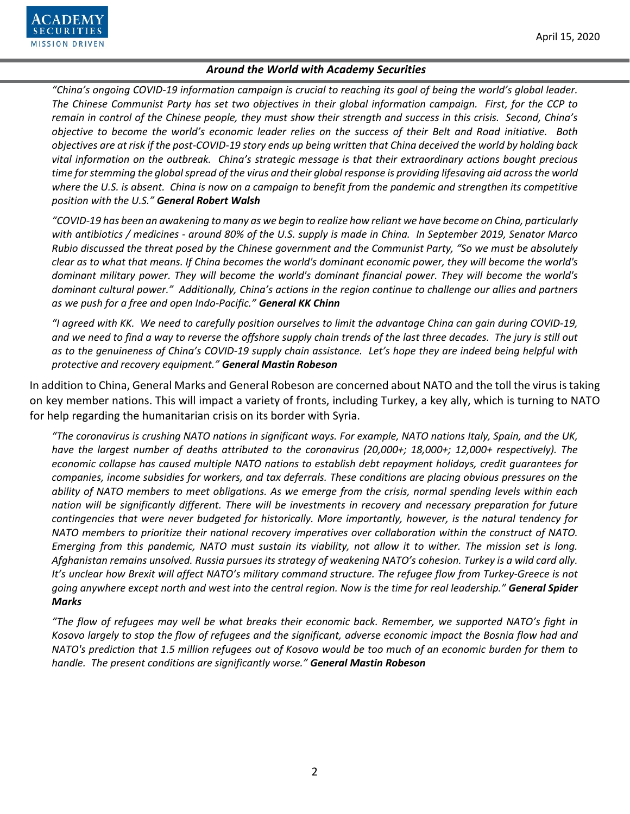

*"China's ongoing COVID-19 information campaign is crucial to reaching its goal of being the world's global leader. The Chinese Communist Party has set two objectives in their global information campaign. First, for the CCP to remain in control of the Chinese people, they must show their strength and success in this crisis. Second, China's objective to become the world's economic leader relies on the success of their Belt and Road initiative. Both objectives are at risk if the post-COVID-19 story ends up being written that China deceived the world by holding back vital information on the outbreak. China's strategic message is that their extraordinary actions bought precious time for stemming the global spread of the virus and their global response is providing lifesaving aid across the world where the U.S. is absent. China is now on a campaign to benefit from the pandemic and strengthen its competitive position with the U.S." General Robert Walsh*

*"COVID-19 has been an awakening to many as we begin to realize how reliant we have become on China, particularly with antibiotics / medicines - around 80% of the U.S. supply is made in China. In September 2019, Senator Marco Rubio discussed the threat posed by the Chinese government and the Communist Party, "So we must be absolutely clear as to what that means. If China becomes the world's dominant economic power, they will become the world's dominant military power. They will become the world's dominant financial power. They will become the world's dominant cultural power." Additionally, China's actions in the region continue to challenge our allies and partners as we push for a free and open Indo-Pacific." General KK Chinn*

*"I agreed with KK. We need to carefully position ourselves to limit the advantage China can gain during COVID-19, and we need to find a way to reverse the offshore supply chain trends of the last three decades. The jury is still out as to the genuineness of China's COVID-19 supply chain assistance. Let's hope they are indeed being helpful with protective and recovery equipment." General Mastin Robeson*

In addition to China, General Marks and General Robeson are concerned about NATO and the toll the virus is taking on key member nations. This will impact a variety of fronts, including Turkey, a key ally, which is turning to NATO for help regarding the humanitarian crisis on its border with Syria.

*"The coronavirus is crushing NATO nations in significant ways. For example, NATO nations Italy, Spain, and the UK, have the largest number of deaths attributed to the coronavirus (20,000+; 18,000+; 12,000+ respectively). The economic collapse has caused multiple NATO nations to establish debt repayment holidays, credit guarantees for companies, income subsidies for workers, and tax deferrals. These conditions are placing obvious pressures on the ability of NATO members to meet obligations. As we emerge from the crisis, normal spending levels within each nation will be significantly different. There will be investments in recovery and necessary preparation for future contingencies that were never budgeted for historically. More importantly, however, is the natural tendency for NATO members to prioritize their national recovery imperatives over collaboration within the construct of NATO. Emerging from this pandemic, NATO must sustain its viability, not allow it to wither. The mission set is long. Afghanistan remains unsolved. Russia pursues its strategy of weakening NATO's cohesion. Turkey is a wild card ally. It's unclear how Brexit will affect NATO's military command structure. The refugee flow from Turkey-Greece is not going anywhere except north and west into the central region. Now is the time for real leadership." General Spider Marks*

*"The flow of refugees may well be what breaks their economic back. Remember, we supported NATO's fight in Kosovo largely to stop the flow of refugees and the significant, adverse economic impact the Bosnia flow had and NATO's prediction that 1.5 million refugees out of Kosovo would be too much of an economic burden for them to handle. The present conditions are significantly worse." General Mastin Robeson*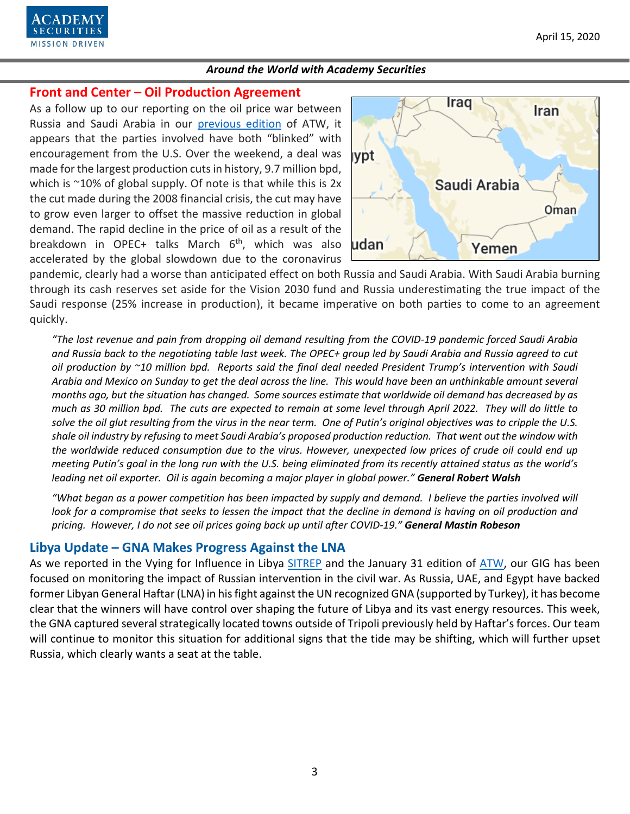

## **Front and Center – Oil Production Agreement**

As a follow up to our reporting on the oil price war between Russia and Saudi Arabia in our [previous edition](https://www.academysecurities.com/wordpress/wp-content/uploads/2020/03/Around-the-World-with-Academy-Securities-3-27-20.pdf) of ATW, it appears that the parties involved have both "blinked" with encouragement from the U.S. Over the weekend, a deal was made for the largest production cuts in history, 9.7 million bpd, which is  $\approx$ 10% of global supply. Of note is that while this is 2x the cut made during the 2008 financial crisis, the cut may have to grow even larger to offset the massive reduction in global demand. The rapid decline in the price of oil as a result of the breakdown in OPEC+ talks March  $6<sup>th</sup>$ , which was also accelerated by the global slowdown due to the coronavirus



pandemic, clearly had a worse than anticipated effect on both Russia and Saudi Arabia. With Saudi Arabia burning through its cash reserves set aside for the Vision 2030 fund and Russia underestimating the true impact of the Saudi response (25% increase in production), it became imperative on both parties to come to an agreement quickly.

*"The lost revenue and pain from dropping oil demand resulting from the COVID-19 pandemic forced Saudi Arabia and Russia back to the negotiating table last week. The OPEC+ group led by Saudi Arabia and Russia agreed to cut oil production by ~10 million bpd. Reports said the final deal needed President Trump's intervention with Saudi Arabia and Mexico on Sunday to get the deal across the line. This would have been an unthinkable amount several months ago, but the situation has changed. Some sources estimate that worldwide oil demand has decreased by as much as 30 million bpd. The cuts are expected to remain at some level through April 2022. They will do little to solve the oil glut resulting from the virus in the near term. One of Putin's original objectives was to cripple the U.S. shale oil industry by refusing to meet Saudi Arabia's proposed production reduction. That went out the window with the worldwide reduced consumption due to the virus. However, unexpected low prices of crude oil could end up meeting Putin's goal in the long run with the U.S. being eliminated from its recently attained status as the world's leading net oil exporter. Oil is again becoming a major player in global power." General Robert Walsh*

*"What began as a power competition has been impacted by supply and demand. I believe the parties involved will look for a compromise that seeks to lessen the impact that the decline in demand is having on oil production and pricing. However, I do not see oil prices going back up until after COVID-19." General Mastin Robeson*

# **Libya Update – GNA Makes Progress Against the LNA**

As we reported in the Vying for Influence in Libya [SITREP](https://www.academysecurities.com/vying-for-influence-in-libya/) and the January 31 edition of [ATW,](https://www.academysecurities.com/wordpress/wp-content/uploads/2020/01/Around-the-World-with-Academy-Securities-1.31.20.pdf) our GIG has been focused on monitoring the impact of Russian intervention in the civil war. As Russia, UAE, and Egypt have backed former Libyan General Haftar(LNA) in his fight against the UN recognized GNA (supported by Turkey), it has become clear that the winners will have control over shaping the future of Libya and its vast energy resources. This week, the GNA captured several strategically located towns outside of Tripoli previously held by Haftar's forces. Our team will continue to monitor this situation for additional signs that the tide may be shifting, which will further upset Russia, which clearly wants a seat at the table.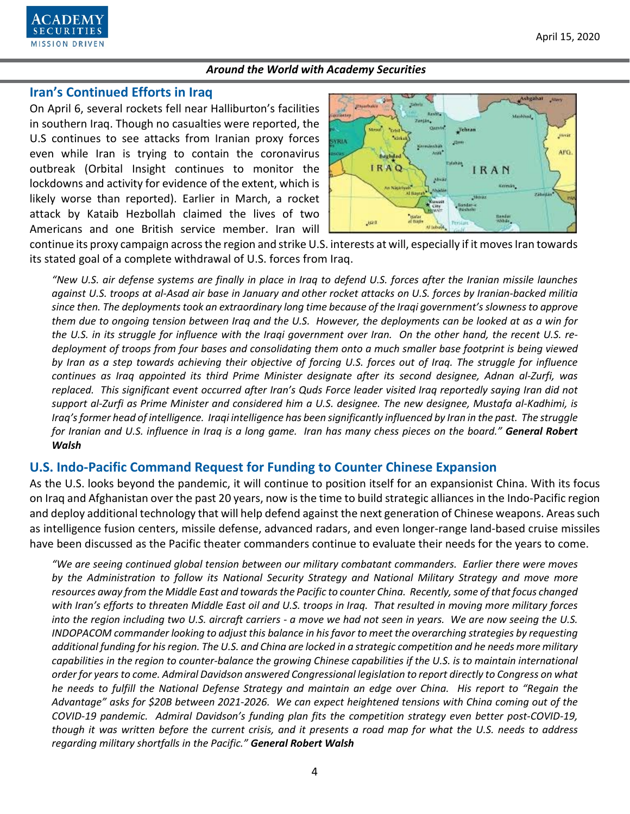

## **Iran's Continued Efforts in Iraq**

On April 6, several rockets fell near Halliburton's facilities in southern Iraq. Though no casualties were reported, the U.S continues to see attacks from Iranian proxy forces even while Iran is trying to contain the coronavirus outbreak (Orbital Insight continues to monitor the lockdowns and activity for evidence of the extent, which is likely worse than reported). Earlier in March, a rocket attack by Kataib Hezbollah claimed the lives of two Americans and one British service member. Iran will



continue its proxy campaign across the region and strike U.S. interests at will, especially if it moves Iran towards its stated goal of a complete withdrawal of U.S. forces from Iraq.

*"New U.S. air defense systems are finally in place in Iraq to defend U.S. forces after the Iranian missile launches against U.S. troops at al-Asad air base in January and other rocket attacks on U.S. forces by Iranian-backed militia since then. The deployments took an extraordinary long time because of the Iraqi government's slowness to approve them due to ongoing tension between Iraq and the U.S. However, the deployments can be looked at as a win for the U.S. in its struggle for influence with the Iraqi government over Iran. On the other hand, the recent U.S. redeployment of troops from four bases and consolidating them onto a much smaller base footprint is being viewed by Iran as a step towards achieving their objective of forcing U.S. forces out of Iraq. The struggle for influence continues as Iraq appointed its third Prime Minister designate after its second designee, Adnan al-Zurfi, was replaced. This significant event occurred after Iran's Quds Force leader visited Iraq reportedly saying Iran did not support al-Zurfi as Prime Minister and considered him a U.S. designee. The new designee, Mustafa al-Kadhimi, is Iraq's former head of intelligence. Iraqi intelligence has been significantly influenced by Iran in the past. The struggle for Iranian and U.S. influence in Iraq is a long game. Iran has many chess pieces on the board." General Robert Walsh*

### **U.S. Indo-Pacific Command Request for Funding to Counter Chinese Expansion**

As the U.S. looks beyond the pandemic, it will continue to position itself for an expansionist China. With its focus on Iraq and Afghanistan over the past 20 years, now is the time to build strategic alliances in the Indo-Pacific region and deploy additional technology that will help defend against the next generation of Chinese weapons. Areas such as intelligence fusion centers, missile defense, advanced radars, and even longer-range land-based cruise missiles have been discussed as the Pacific theater commanders continue to evaluate their needs for the years to come.

*"We are seeing continued global tension between our military combatant commanders. Earlier there were moves by the Administration to follow its National Security Strategy and National Military Strategy and move more resources away from the Middle East and towards the Pacific to counter China. Recently, some of that focus changed with Iran's efforts to threaten Middle East oil and U.S. troops in Iraq. That resulted in moving more military forces into the region including two U.S. aircraft carriers - a move we had not seen in years. We are now seeing the U.S. INDOPACOM commander looking to adjust this balance in his favor to meet the overarching strategies by requesting additional funding for his region. The U.S. and China are locked in a strategic competition and he needs more military capabilities in the region to counter-balance the growing Chinese capabilities if the U.S. is to maintain international order for years to come. Admiral Davidson answered Congressional legislation to report directly to Congress on what he needs to fulfill the National Defense Strategy and maintain an edge over China. His report to "Regain the Advantage" asks for \$20B between 2021-2026. We can expect heightened tensions with China coming out of the COVID-19 pandemic. Admiral Davidson's funding plan fits the competition strategy even better post-COVID-19, though it was written before the current crisis, and it presents a road map for what the U.S. needs to address regarding military shortfalls in the Pacific." General Robert Walsh*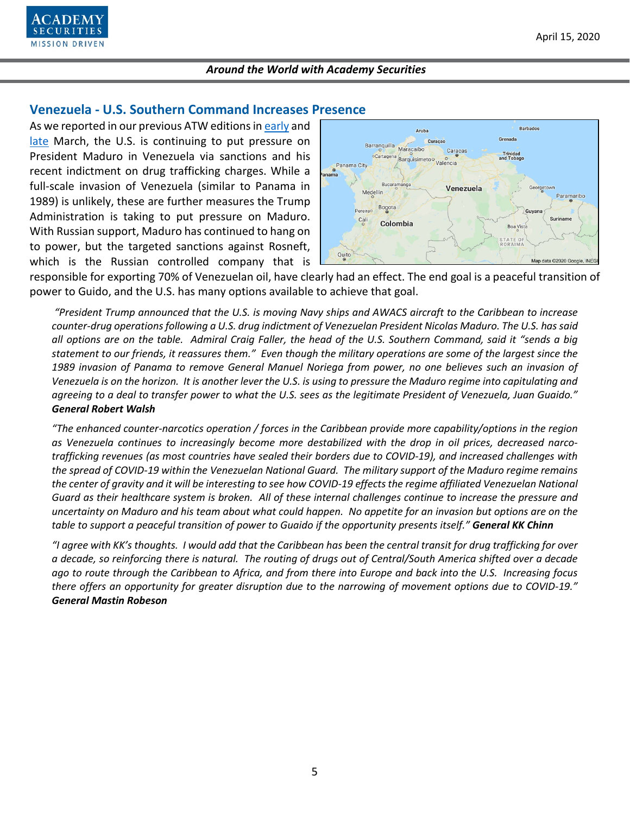

## **Venezuela - U.S. Southern Command Increases Presence**

As we reported in our previous ATW editions in [early](https://www.academysecurities.com/wordpress/wp-content/uploads/2020/03/Around-the-World-with-Academy-Securities-3-1-20.pdf) and [late](https://www.academysecurities.com/wordpress/wp-content/uploads/2020/03/Around-the-World-with-Academy-Securities-3-27-20.pdf) March, the U.S. is continuing to put pressure on President Maduro in Venezuela via sanctions and his recent indictment on drug trafficking charges. While a full-scale invasion of Venezuela (similar to Panama in 1989) is unlikely, these are further measures the Trump Administration is taking to put pressure on Maduro. With Russian support, Maduro has continued to hang on to power, but the targeted sanctions against Rosneft, which is the Russian controlled company that is



responsible for exporting 70% of Venezuelan oil, have clearly had an effect. The end goal is a peaceful transition of power to Guido, and the U.S. has many options available to achieve that goal.

*"President Trump announced that the U.S. is moving Navy ships and AWACS aircraft to the Caribbean to increase counter-drug operations following a U.S. drug indictment of Venezuelan President Nicolas Maduro. The U.S. has said all options are on the table. Admiral Craig Faller, the head of the U.S. Southern Command, said it "sends a big statement to our friends, it reassures them." Even though the military operations are some of the largest since the 1989 invasion of Panama to remove General Manuel Noriega from power, no one believes such an invasion of Venezuela is on the horizon. It is another lever the U.S. is using to pressure the Maduro regime into capitulating and agreeing to a deal to transfer power to what the U.S. sees as the legitimate President of Venezuela, Juan Guaido." General Robert Walsh*

*"The enhanced counter-narcotics operation / forces in the Caribbean provide more capability/options in the region as Venezuela continues to increasingly become more destabilized with the drop in oil prices, decreased narcotrafficking revenues (as most countries have sealed their borders due to COVID-19), and increased challenges with the spread of COVID-19 within the Venezuelan National Guard. The military support of the Maduro regime remains the center of gravity and it will be interesting to see how COVID-19 effects the regime affiliated Venezuelan National Guard as their healthcare system is broken. All of these internal challenges continue to increase the pressure and uncertainty on Maduro and his team about what could happen. No appetite for an invasion but options are on the table to support a peaceful transition of power to Guaido if the opportunity presents itself." General KK Chinn*

*"I agree with KK's thoughts. I would add that the Caribbean has been the central transit for drug trafficking for over a decade, so reinforcing there is natural. The routing of drugs out of Central/South America shifted over a decade ago to route through the Caribbean to Africa, and from there into Europe and back into the U.S. Increasing focus there offers an opportunity for greater disruption due to the narrowing of movement options due to COVID-19." General Mastin Robeson*